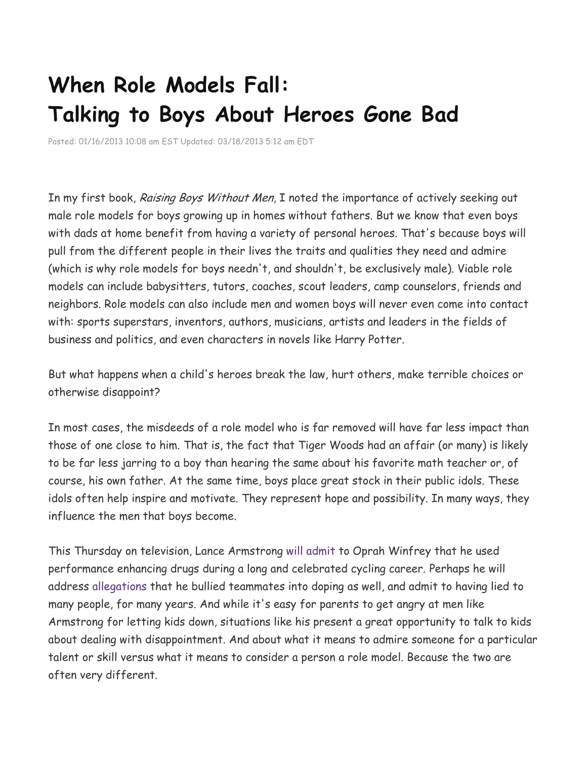## **When Role Models Fall: Talking to Boys About Heroes Gone Bad**

Posted: 01/16/2013 10:08 am EST Updated: 03/18/2013 5:12 am EDT

In my first book, Raising Boys Without Men, I noted the importance of actively seeking out male role models for boys growing up in homes without fathers. But we know that even boys with dads at home benefit from having a variety of personal heroes. That's because boys will pull from the different people in their lives the traits and qualities they need and admire (which is why role models for boys needn't, and shouldn't, be exclusively male). Viable role models can include babysitters, tutors, coaches, scout leaders, camp counselors, friends and neighbors. Role models can also include men and women boys will never even come into contact with: sports superstars, inventors, authors, musicians, artists and leaders in the fields of business and politics, and even characters in novels like Harry Potter.

But what happens when a child's heroes break the law, hurt others, make terrible choices or otherwise disappoint?

In most cases, the misdeeds of a role model who is far removed will have far less impact than those of one close to him. That is, the fact that Tiger Woods had an affair (or many) is likely to be far less jarring to a boy than hearing the same about his favorite math teacher or, of course, his own father. At the same time, boys place great stock in their public idols. These idols often help inspire and motivate. They represent hope and possibility. In many ways, they influence the men that boys become.

This Thursday on television, Lance Armstrong will [admit](http://usnews.nbcnews.com/_news/2013/01/15/16523534-oprah-armstrong-forthcoming-in-interview-about-drug-use?lite) to Oprah Winfrey that he used performance enhancing drugs during a long and celebrated cycling career. Perhaps he will address [allegations](http://www.nydailynews.com/sports/i-team/oprah-confession-beginning-lance-article-1.1240133) that he bullied teammates into doping as well, and admit to having lied to many people, for many years. And while it's easy for parents to get angry at men like Armstrong for letting kids down, situations like his present a great opportunity to talk to kids about dealing with disappointment. And about what it means to admire someone for a particular talent or skill versus what it means to consider a person a role model. Because the two are often very different.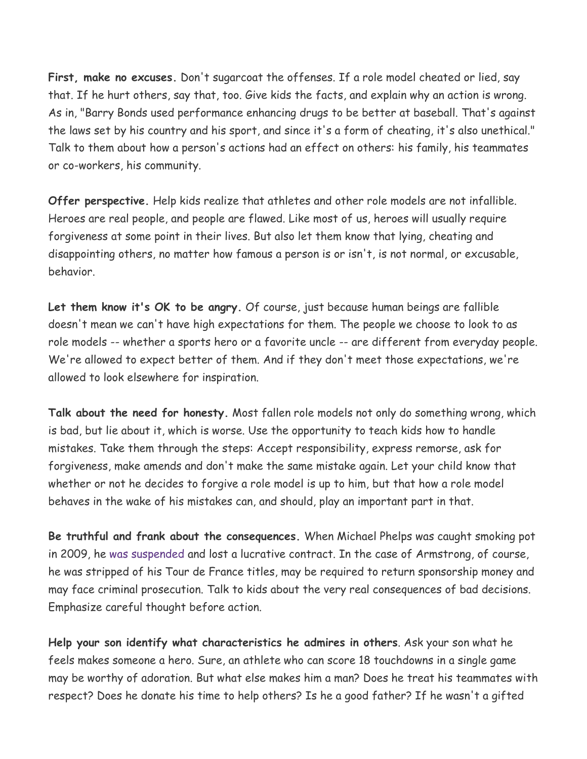**First, make no excuses.** Don't sugarcoat the offenses. If a role model cheated or lied, say that. If he hurt others, say that, too. Give kids the facts, and explain why an action is wrong. As in, "Barry Bonds used performance enhancing drugs to be better at baseball. That's against the laws set by his country and his sport, and since it's a form of cheating, it's also unethical." Talk to them about how a person's actions had an effect on others: his family, his teammates or co-workers, his community.

**Offer perspective.** Help kids realize that athletes and other role models are not infallible. Heroes are real people, and people are flawed. Like most of us, heroes will usually require forgiveness at some point in their lives. But also let them know that lying, cheating and disappointing others, no matter how famous a person is or isn't, is not normal, or excusable, behavior.

**Let them know it's OK to be angry.** Of course, just because human beings are fallible doesn't mean we can't have high expectations for them. The people we choose to look to as role models -- whether a sports hero or a favorite uncle -- are different from everyday people. We're allowed to expect better of them. And if they don't meet those expectations, we're allowed to look elsewhere for inspiration.

**Talk about the need for honesty.** Most fallen role models not only do something wrong, which is bad, but lie about it, which is worse. Use the opportunity to teach kids how to handle mistakes. Take them through the steps: Accept responsibility, express remorse, ask for forgiveness, make amends and don't make the same mistake again. Let your child know that whether or not he decides to forgive a role model is up to him, but that how a role model behaves in the wake of his mistakes can, and should, play an important part in that.

**Be truthful and frank about the consequences.** When Michael Phelps was caught smoking pot in 2009, he was [suspended](http://www.nytimes.com/2009/02/06/sports/othersports/06phelps.html?_r=0) and lost a lucrative contract. In the case of Armstrong, of course, he was stripped of his Tour de France titles, may be required to return sponsorship money and may face criminal prosecution. Talk to kids about the very real consequences of bad decisions. Emphasize careful thought before action.

**Help your son identify what characteristics he admires in others**. Ask your son what he feels makes someone a hero. Sure, an athlete who can score 18 touchdowns in a single game may be worthy of adoration. But what else makes him a man? Does he treat his teammates with respect? Does he donate his time to help others? Is he a good father? If he wasn't a gifted